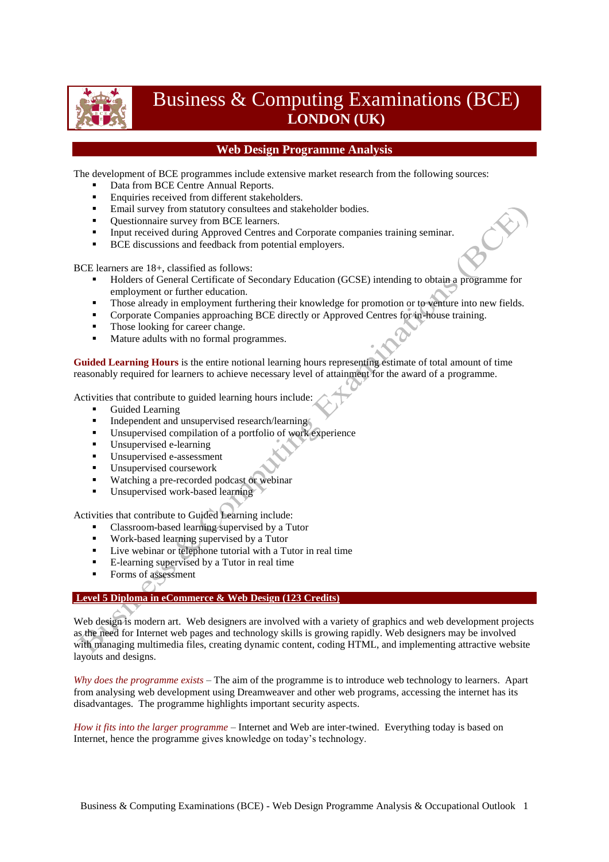

# Business & Computing Examinations (BCE) **LONDON (UK)**

## **Web Design Programme Analysis**

The development of BCE programmes include extensive market research from the following sources:

- Data from BCE Centre Annual Reports.
- **Enquiries received from different stakeholders.**
- Email survey from statutory consultees and stakeholder bodies.
- Ouestionnaire survey from BCE learners.
- Input received during Approved Centres and Corporate companies training seminar.
- BCE discussions and feedback from potential employers.

BCE learners are 18+, classified as follows:

- Holders of General Certificate of Secondary Education (GCSE) intending to obtain a programme for employment or further education.
- **Those already in employment furthering their knowledge for promotion or to venture into new fields.**
- **Corporate Companies approaching BCE directly or Approved Centres for in-house training.**
- Those looking for career change.
- Mature adults with no formal programmes.

**Guided Learning Hours** is the entire notional learning hours representing estimate of total amount of time reasonably required for learners to achieve necessary level of attainment for the award of a programme.

Activities that contribute to guided learning hours include:

- Guided Learning
- Independent and unsupervised research/learning
- Unsupervised compilation of a portfolio of work experience
- Unsupervised e-learning
- Unsupervised e-assessment
- Unsupervised coursework
- **Watching a pre-recorded podcast or webinar**
- Unsupervised work-based learning

Activities that contribute to Guided Learning include:

- Classroom-based learning supervised by a Tutor
- Work-based learning supervised by a Tutor
- Live webinar or telephone tutorial with a Tutor in real time
- E-learning supervised by a Tutor in real time
- Forms of assessment O

## **Level 5 Diploma in eCommerce & Web Design (123 Credits)**

Web design is modern art. Web designers are involved with a variety of graphics and web development projects as the need for Internet web pages and technology skills is growing rapidly. Web designers may be involved with managing multimedia files, creating dynamic content, coding HTML, and implementing attractive website layouts and designs.

*Why does the programme exists* – The aim of the programme is to introduce web technology to learners. Apart from analysing web development using Dreamweaver and other web programs, accessing the internet has its disadvantages. The programme highlights important security aspects.

*How it fits into the larger programme* – Internet and Web are inter-twined. Everything today is based on Internet, hence the programme gives knowledge on today's technology.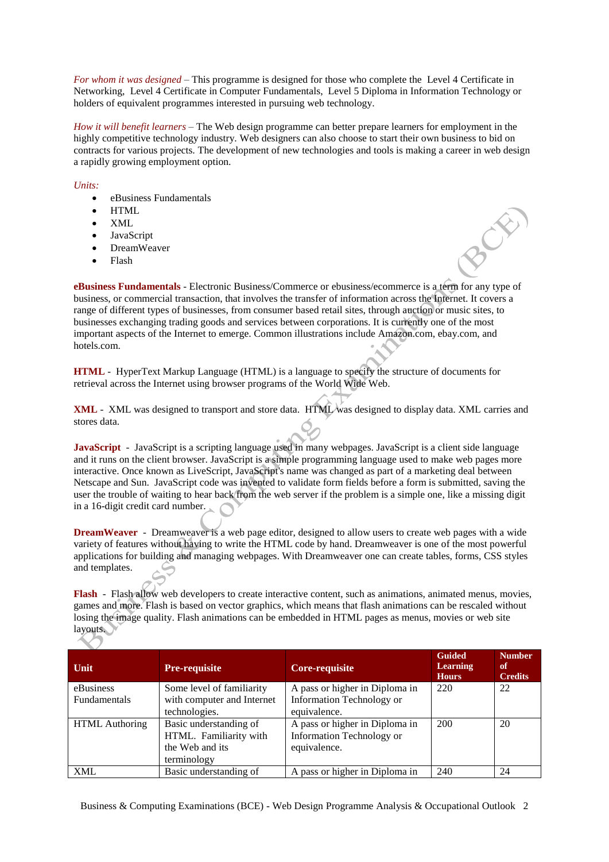*For whom it was designed* – This programme is designed for those who complete the Level 4 Certificate in Networking, Level 4 Certificate in Computer Fundamentals, Level 5 Diploma in Information Technology or holders of equivalent programmes interested in pursuing web technology.

*How it will benefit learners* – The Web design programme can better prepare learners for employment in the highly competitive technology industry. Web designers can also choose to start their own business to bid on contracts for various projects. The development of new technologies and tools is making a career in web design a rapidly growing employment option.

### *Units:*

- eBusiness Fundamentals
- $\bullet$  HTML
- XML
- JavaScript
- DreamWeaver
- Flash

**eBusiness Fundamentals** - Electronic Business/Commerce or ebusiness/ecommerce is a term for any type of business, or commercial transaction, that involves the transfer of information across the Internet. It covers a range of different types of businesses, from consumer based retail sites, through auction or music sites, to businesses exchanging trading goods and services between corporations. It is currently one of the most important aspects of the Internet to emerge. Common illustrations include Amazon.com, ebay.com, and hotels.com.

**HTML** - HyperText Markup Language (HTML) is a language to specify the structure of documents for retrieval across the Internet using browser programs of the World Wide Web.

**XML** - XML was designed to transport and store data. HTML was designed to display data. XML carries and stores data.

**JavaScript** - JavaScript is a scripting language used in many webpages. JavaScript is a client side language and it runs on the client browser. JavaScript is a simple programming language used to make web pages more interactive. Once known as LiveScript, JavaScript's name was changed as part of a marketing deal between Netscape and Sun. JavaScript code was invented to validate form fields before a form is submitted, saving the user the trouble of waiting to hear back from the web server if the problem is a simple one, like a missing digit in a 16-digit credit card number.

**DreamWeaver** - Dreamweaver is a web page editor, designed to allow users to create web pages with a wide variety of features without having to write the HTML code by hand. Dreamweaver is one of the most powerful applications for building and managing webpages. With Dreamweaver one can create tables, forms, CSS styles and templates.

**Flash** - Flash allow web developers to create interactive content, such as animations, animated menus, movies, games and more. Flash is based on vector graphics, which means that flash animations can be rescaled without losing the image quality. Flash animations can be embedded in HTML pages as menus, movies or web site layouts.

| Unit                  | <b>Pre-requisite</b>       | Core-requisite                   | <b>Guided</b><br><b>Learning</b><br><b>Hours</b> | <b>Number</b><br>of<br><b>Credits</b> |
|-----------------------|----------------------------|----------------------------------|--------------------------------------------------|---------------------------------------|
| eBusiness             | Some level of familiarity  | A pass or higher in Diploma in   | 220                                              | 22                                    |
| <b>Fundamentals</b>   | with computer and Internet | <b>Information Technology or</b> |                                                  |                                       |
|                       | technologies.              | equivalence.                     |                                                  |                                       |
| <b>HTML</b> Authoring | Basic understanding of     | A pass or higher in Diploma in   | 200                                              | 20                                    |
|                       | HTML. Familiarity with     | <b>Information Technology or</b> |                                                  |                                       |
|                       | the Web and its            | equivalence.                     |                                                  |                                       |
|                       | terminology                |                                  |                                                  |                                       |
| <b>XML</b>            | Basic understanding of     | A pass or higher in Diploma in   | 240                                              | 24                                    |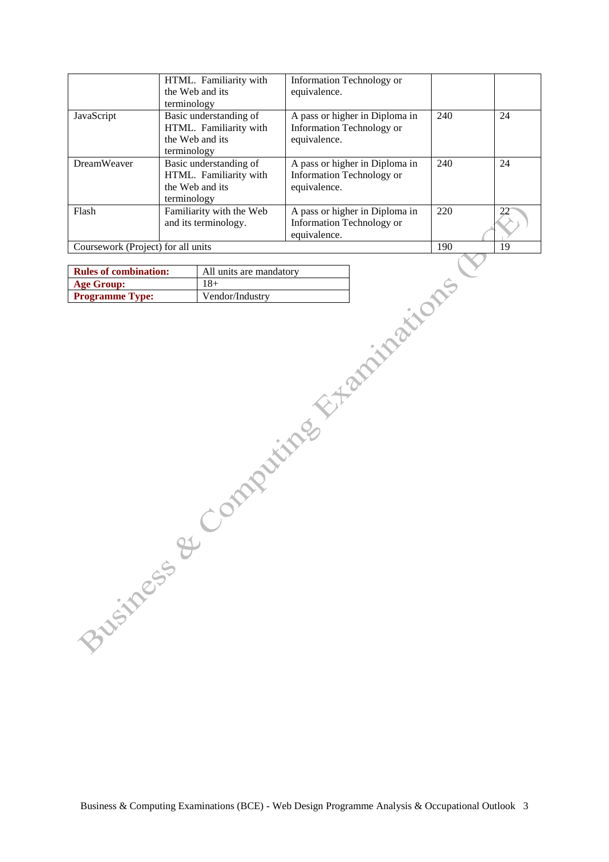|                                    | HTML. Familiarity with<br>the Web and its                                                         | Information Technology or<br>equivalence.                                   |     |    |
|------------------------------------|---------------------------------------------------------------------------------------------------|-----------------------------------------------------------------------------|-----|----|
| JavaScript                         | terminology<br>Basic understanding of<br>HTML. Familiarity with<br>the Web and its<br>terminology | A pass or higher in Diploma in<br>Information Technology or<br>equivalence. | 240 | 24 |
| <b>DreamWeaver</b>                 | Basic understanding of<br>HTML. Familiarity with<br>the Web and its<br>terminology                | A pass or higher in Diploma in<br>Information Technology or<br>equivalence. | 240 | 24 |
| Flash                              | Familiarity with the Web<br>and its terminology.                                                  | A pass or higher in Diploma in<br>Information Technology or<br>equivalence. | 220 |    |
| Coursework (Project) for all units |                                                                                                   |                                                                             | 190 | 19 |

| <b>Rules of combination:</b> | All units are mandatory |
|------------------------------|-------------------------|
| Age Group:                   | 18+                     |
| <b>Programme Type:</b>       | Vendor/Industry         |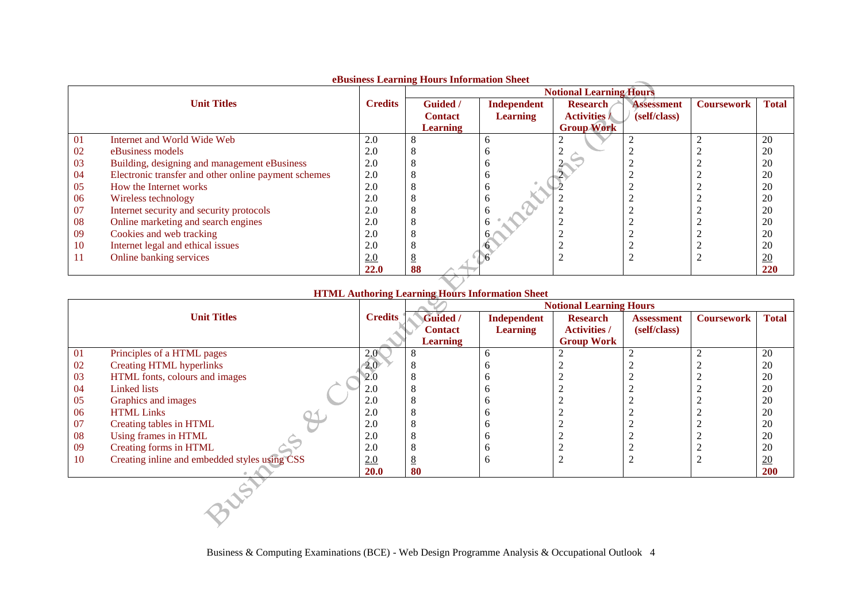|               |                                                      |                | edusiness learning flours information sheet |                 | <b>Notional Learning Hours</b> |                   |                   |                  |
|---------------|------------------------------------------------------|----------------|---------------------------------------------|-----------------|--------------------------------|-------------------|-------------------|------------------|
|               |                                                      |                |                                             |                 |                                |                   |                   |                  |
|               | <b>Unit Titles</b>                                   | <b>Credits</b> | <b>Guided</b> /                             | Independent     | <b>Research</b>                | <b>Assessment</b> | <b>Coursework</b> | <b>Total</b>     |
|               |                                                      |                | <b>Contact</b>                              | <b>Learning</b> | <b>Activities /</b>            | (self/class)      |                   |                  |
|               |                                                      |                | <b>Learning</b>                             |                 | <b>Group Work</b>              |                   |                   |                  |
| 01            | <b>Internet and World Wide Web</b>                   | 2.0            |                                             | n               |                                |                   |                   | 20               |
| 02            | eBusiness models                                     | 2.0            |                                             |                 |                                |                   |                   | 20               |
| 03            | Building, designing and management eBusiness         | 2.0            |                                             |                 |                                |                   |                   | 20               |
| 04            | Electronic transfer and other online payment schemes | 2.0            |                                             |                 |                                |                   |                   | 20               |
| 05            | How the Internet works                               | 2.0            |                                             |                 |                                |                   |                   | 20               |
| 06            | Wireless technology                                  | 2.0            |                                             |                 |                                |                   |                   | 20               |
| 07            | Internet security and security protocols             | 2.0            |                                             |                 |                                |                   |                   | 20               |
| 08            | Online marketing and search engines                  | 2.0            |                                             |                 |                                |                   |                   | 20               |
| 09            | Cookies and web tracking                             | 2.0            |                                             |                 |                                |                   |                   | 20               |
| <sup>10</sup> | Internet legal and ethical issues                    | 2.0            |                                             |                 |                                |                   |                   | 20               |
| -1-1          | Online banking services                              | 2.0            |                                             |                 |                                |                   |                   | $\underline{20}$ |
|               |                                                      | <b>22.0</b>    | 88                                          |                 |                                |                   |                   | 220              |

## **eBusiness Learning Hours Information Sheet**

## **HTML Authoring Learning Hours Information Sheet**

|           |                                               |                  | <b>Notional Learning Hours</b> |                 |                     |                   |                   |              |  |
|-----------|-----------------------------------------------|------------------|--------------------------------|-----------------|---------------------|-------------------|-------------------|--------------|--|
|           | <b>Unit Titles</b>                            | <b>Credits</b>   | Guided /                       | Independent     | <b>Research</b>     | <b>Assessment</b> | <b>Coursework</b> | <b>Total</b> |  |
|           |                                               |                  | <b>Contact</b>                 | <b>Learning</b> | <b>Activities /</b> | (self/class)      |                   |              |  |
|           |                                               |                  | <b>Learning</b>                |                 | <b>Group Work</b>   |                   |                   |              |  |
| -01       | Principles of a HTML pages                    | 2.0 <sub>1</sub> | $\circ$                        | 6               |                     |                   |                   | 20           |  |
| 02        | <b>Creating HTML hyperlinks</b>               | 2.0              |                                |                 |                     |                   |                   | 20           |  |
| 03        | HTML fonts, colours and images                | 2.0              |                                | O               |                     |                   |                   | 20           |  |
| 04        | Linked lists                                  | 2.0              |                                | n               |                     |                   |                   | 20           |  |
| 05        | Graphics and images                           | 2.0              |                                |                 |                     |                   |                   | 20           |  |
| 06        | <b>HTML Links</b>                             | 2.0              |                                |                 |                     |                   |                   | 20           |  |
| 07        | Creating tables in HTML                       | 2.0              |                                | n               |                     |                   |                   | 20           |  |
| 08        | Using frames in HTML                          | 2.0              |                                |                 |                     |                   |                   | 20           |  |
| 09        | Creating forms in HTML                        | 2.0              |                                | n               |                     |                   |                   | 20           |  |
| <b>10</b> | Creating inline and embedded styles using CSS | 2.0              | 8                              | 6               | 2                   | $\sim$            |                   | 20           |  |
|           |                                               | 20.0             | 80                             |                 |                     |                   |                   | 200          |  |
|           |                                               |                  |                                |                 |                     |                   |                   |              |  |
|           |                                               |                  |                                |                 |                     |                   |                   |              |  |
|           |                                               |                  |                                |                 |                     |                   |                   |              |  |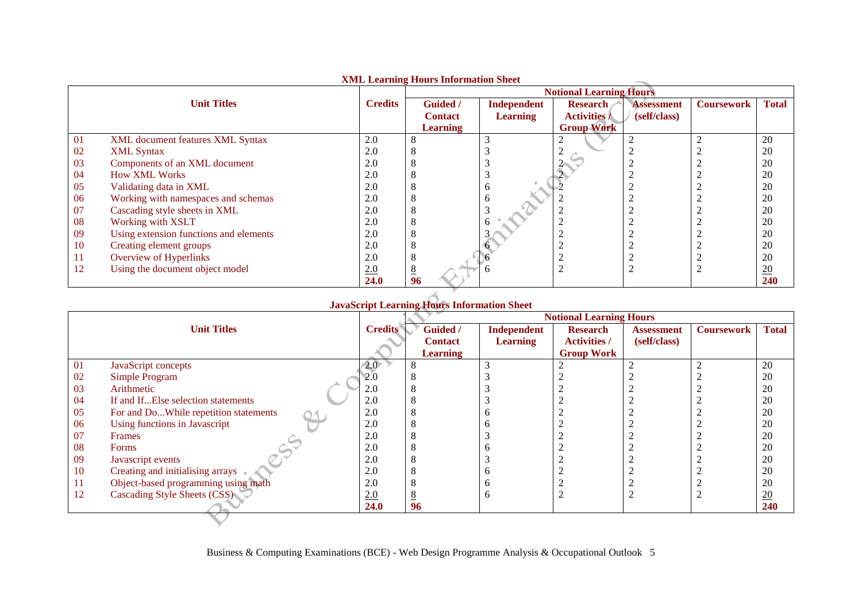|     |                                        |                | AML Learning Hours Imormation Sheet |                                | <b>Notional Learning Hours</b>         |                                   |                   |                  |
|-----|----------------------------------------|----------------|-------------------------------------|--------------------------------|----------------------------------------|-----------------------------------|-------------------|------------------|
|     | <b>Unit Titles</b>                     | <b>Credits</b> | Guided /<br><b>Contact</b>          | Independent<br><b>Learning</b> | <b>Research</b><br><b>Activities /</b> | <b>Assessment</b><br>(self/class) | <b>Coursework</b> | <b>Total</b>     |
|     |                                        |                | <b>Learning</b>                     |                                | <b>Group Work</b>                      |                                   |                   |                  |
| 01  | XML document features XML Syntax       | 2.0            |                                     |                                |                                        |                                   |                   | 20               |
| 02  | <b>XML</b> Syntax                      | 2.0            |                                     |                                |                                        |                                   |                   | 20               |
| 03  | Components of an XML document          | 2.0            |                                     |                                |                                        |                                   |                   | 20               |
| 04  | <b>How XML Works</b>                   | 2.0            |                                     |                                |                                        |                                   |                   | 20               |
| 05  | Validating data in XML                 | 2.0            |                                     |                                |                                        |                                   |                   | 20               |
| 06  | Working with namespaces and schemas    | 2.0            |                                     | <sub>0</sub>                   |                                        |                                   |                   | 20               |
| 07  | Cascading style sheets in XML          | 2.0            |                                     |                                |                                        |                                   |                   | 20               |
| 08  | Working with XSLT                      | 2.0            |                                     |                                |                                        |                                   |                   | 20               |
| 09  | Using extension functions and elements | 2.0            |                                     |                                |                                        |                                   |                   | 20               |
| 10  | Creating element groups                | 2.0            |                                     |                                |                                        |                                   |                   | 20               |
| -11 | Overview of Hyperlinks                 | 2.0            |                                     |                                |                                        |                                   |                   | 20               |
| 12  | Using the document object model        | 2.0            |                                     |                                |                                        |                                   |                   | $\underline{20}$ |
|     |                                        | 24.0           | 96                                  |                                |                                        |                                   |                   | 240              |

## **XML Learning Hours Information Sheet**

## **JavaScript Learning Hours Information Sheet**

|    |                                       |                  | <b>Notional Learning Hours</b> |                    |                     |                   |                   |                  |
|----|---------------------------------------|------------------|--------------------------------|--------------------|---------------------|-------------------|-------------------|------------------|
|    | <b>Unit Titles</b>                    | <b>Credits</b>   | <b>Guided</b> /                | <b>Independent</b> | <b>Research</b>     | <b>Assessment</b> | <b>Coursework</b> | <b>Total</b>     |
|    |                                       |                  | <b>Contact</b>                 | <b>Learning</b>    | <b>Activities /</b> | (self/class)      |                   |                  |
|    |                                       |                  | <b>Learning</b>                |                    | <b>Group Work</b>   |                   |                   |                  |
| 01 | JavaScript concepts                   | 2.0 <sub>1</sub> |                                |                    |                     |                   |                   | 20               |
| 02 | Simple Program                        | 2.0              |                                |                    |                     |                   |                   | 20               |
| 03 | Arithmetic                            | 2.0              |                                |                    |                     |                   |                   | 20               |
| 04 | If and IfElse selection statements    | 2.0              |                                |                    |                     |                   |                   | 20               |
| 05 | For and DoWhile repetition statements | 2.0              |                                |                    |                     |                   |                   | 20               |
| 06 | Using functions in Javascript         | 2.0              |                                |                    |                     |                   |                   | 20               |
| 07 | Frames                                | 2.0              |                                |                    |                     |                   |                   | 20               |
| 08 | <b>Forms</b>                          | 2.0              |                                |                    |                     |                   |                   | 20               |
| 09 | Javascript events                     | 2.0              |                                |                    |                     |                   |                   | 20               |
| 10 | Creating and initialising arrays      | 2.0              |                                |                    |                     |                   |                   | 20               |
| 11 | Object-based programming using math   | 2.0              |                                |                    |                     |                   |                   | 20               |
| 12 | Cascading Style Sheets (CSS)          | 2.0              | $\overline{\circ}$             |                    |                     |                   |                   | $\underline{20}$ |
|    |                                       | <b>24.0</b>      | 96                             |                    |                     |                   |                   | 240              |
|    |                                       |                  |                                |                    |                     |                   |                   |                  |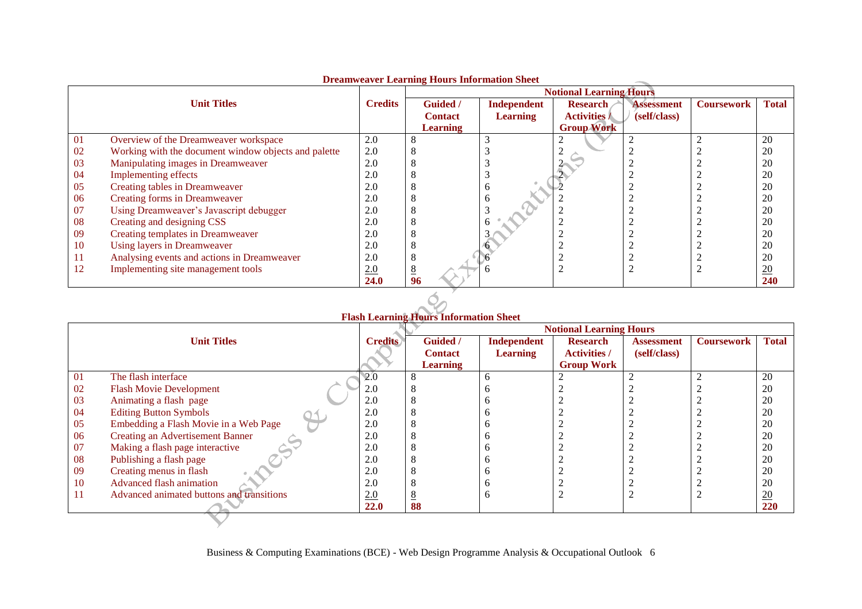|    | Dreamweaver Learning Hours Hilbridgetti<br><b>Notional Learning Hours</b> |                |                 |                 |                     |                   |                   |                  |  |
|----|---------------------------------------------------------------------------|----------------|-----------------|-----------------|---------------------|-------------------|-------------------|------------------|--|
|    |                                                                           |                |                 |                 |                     |                   |                   |                  |  |
|    | <b>Unit Titles</b>                                                        | <b>Credits</b> | Guided /        | Independent     | <b>Research</b>     | <b>Assessment</b> | <b>Coursework</b> | <b>Total</b>     |  |
|    |                                                                           |                | <b>Contact</b>  | <b>Learning</b> | <b>Activities /</b> | (self/class)      |                   |                  |  |
|    |                                                                           |                | <b>Learning</b> |                 | <b>Group Work</b>   |                   |                   |                  |  |
| 01 | Overview of the Dreamweaver workspace                                     | 2.0            |                 |                 |                     |                   |                   | 20               |  |
| 02 | Working with the document window objects and palette                      | 2.0            |                 |                 |                     |                   |                   | 20               |  |
| 03 | Manipulating images in Dreamweaver                                        | 2.0            |                 |                 |                     |                   |                   | 20               |  |
| 04 | <b>Implementing effects</b>                                               | 2.0            |                 |                 |                     |                   |                   | 20               |  |
| 05 | Creating tables in Dreamweaver                                            | 2.0            |                 |                 |                     |                   |                   | 20               |  |
| 06 | Creating forms in Dreamweaver                                             | 2.0            |                 |                 |                     |                   |                   | 20               |  |
| 07 | Using Dreamweaver's Javascript debugger                                   | 2.0            |                 |                 |                     |                   |                   | 20               |  |
| 08 | Creating and designing CSS                                                | 2.0            |                 |                 |                     |                   |                   | 20               |  |
| 09 | Creating templates in Dreamweaver                                         | 2.0            |                 |                 |                     |                   |                   | 20               |  |
| 10 | Using layers in Dreamweaver                                               | 2.0            |                 |                 |                     |                   |                   | 20               |  |
| 11 | Analysing events and actions in Dreamweaver                               | 2.0            |                 |                 |                     |                   |                   | 20               |  |
| 12 | Implementing site management tools                                        | 2.0            |                 |                 |                     |                   |                   | $\underline{20}$ |  |
|    |                                                                           | 24.0           | 96              |                 |                     |                   |                   | 240              |  |

## **Dreamweaver Learning Hours Information Sheet**

|    |                                           |                | <b>Notional Learning Hours</b> |                 |                     |                   |                   |                 |  |  |
|----|-------------------------------------------|----------------|--------------------------------|-----------------|---------------------|-------------------|-------------------|-----------------|--|--|
|    | <b>Unit Titles</b>                        | <b>Credits</b> | <b>Guided</b> /                | Independent     | <b>Research</b>     | <b>Assessment</b> | <b>Coursework</b> | <b>Total</b>    |  |  |
|    |                                           |                | <b>Contact</b>                 | <b>Learning</b> | <b>Activities</b> / | (self/class)      |                   |                 |  |  |
|    |                                           |                | <b>Learning</b>                |                 | <b>Group Work</b>   |                   |                   |                 |  |  |
| 01 | The flash interface                       | 2.0            | 8                              | n               |                     |                   | ◠                 | 20              |  |  |
| 02 | <b>Flash Movie Development</b>            | 2.0            |                                |                 |                     |                   |                   | 20              |  |  |
| 03 | Animating a flash page                    | 2.0            |                                |                 |                     |                   |                   | 20              |  |  |
| 04 | <b>Editing Button Symbols</b>             | 2.0            |                                |                 |                     |                   |                   | 20              |  |  |
| 05 | Embedding a Flash Movie in a Web Page     | 2.0            |                                |                 |                     |                   |                   | 20              |  |  |
| 06 | <b>Creating an Advertisement Banner</b>   | 2.0            | ◠                              |                 |                     |                   |                   | 20              |  |  |
| 07 | Making a flash page interactive           | 2.0            |                                |                 |                     |                   |                   | 20              |  |  |
| 08 | Publishing a flash page                   | 2.0            |                                |                 |                     |                   |                   | 20              |  |  |
| 09 | Creating menus in flash                   | 2.0            |                                |                 |                     |                   |                   | 20              |  |  |
| 10 | Advanced flash animation                  | 2.0            |                                |                 |                     |                   |                   | 20              |  |  |
| 11 | Advanced animated buttons and transitions | 2.0            | $\circ$                        |                 |                     |                   |                   | $\overline{20}$ |  |  |
|    |                                           | 22.0           | 88                             |                 |                     |                   |                   | 220             |  |  |
|    |                                           |                |                                |                 |                     |                   |                   |                 |  |  |

## $\breve{Q}$ **Flash Learning Hours Information Sheet**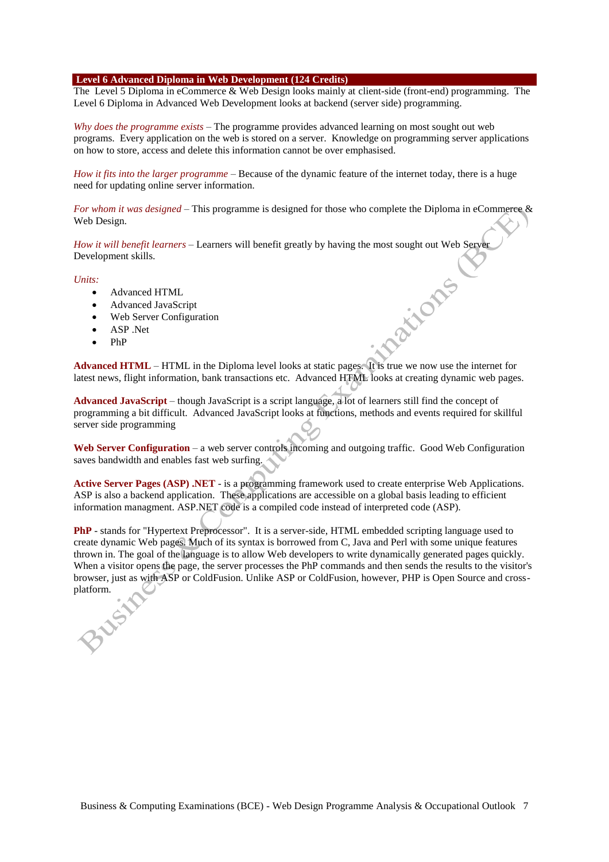### **Level 6 Advanced Diploma in Web Development (124 Credits)**

The Level 5 Diploma in eCommerce & Web Design looks mainly at client-side (front-end) programming. The Level 6 Diploma in Advanced Web Development looks at backend (server side) programming.

*Why does the programme exists* – The programme provides advanced learning on most sought out web programs. Every application on the web is stored on a server. Knowledge on programming server applications on how to store, access and delete this information cannot be over emphasised.

*How it fits into the larger programme* – Because of the dynamic feature of the internet today, there is a huge need for updating online server information.

*For whom it was designed* – This programme is designed for those who complete the Diploma in eCommerce & Web Design.

*How it will benefit learners* – Learners will benefit greatly by having the most sought out Web Server Development skills. **Patrons** 

### *Units:*

- Advanced HTML
- Advanced JavaScript
- Web Server Configuration
- ASP .Net
- PhP

**Advanced HTML** – HTML in the Diploma level looks at static pages. It is true we now use the internet for latest news, flight information, bank transactions etc. Advanced HTML looks at creating dynamic web pages.

Advanced JavaScript – though JavaScript is a script language, a lot of learners still find the concept of programming a bit difficult. Advanced JavaScript looks at functions, methods and events required for skillful server side programming

**Web Server Configuration** – a web server controls incoming and outgoing traffic. Good Web Configuration saves bandwidth and enables fast web surfing.

**Active Server Pages (ASP) .NET** - is a programming framework used to create enterprise Web Applications. ASP is also a backend application. These applications are accessible on a global basis leading to efficient information managment. ASP.NET code is a compiled code instead of interpreted code (ASP).

**PhP** - stands for "Hypertext Preprocessor". It is a server-side, HTML embedded scripting language used to create dynamic Web pages. Much of its syntax is borrowed from C, Java and Perl with some unique features thrown in. The goal of the language is to allow Web developers to write dynamically generated pages quickly. When a visitor opens the page, the server processes the PhP commands and then sends the results to the visitor's browser, just as with ASP or ColdFusion. Unlike ASP or ColdFusion, however, PHP is Open Source and crossplatform.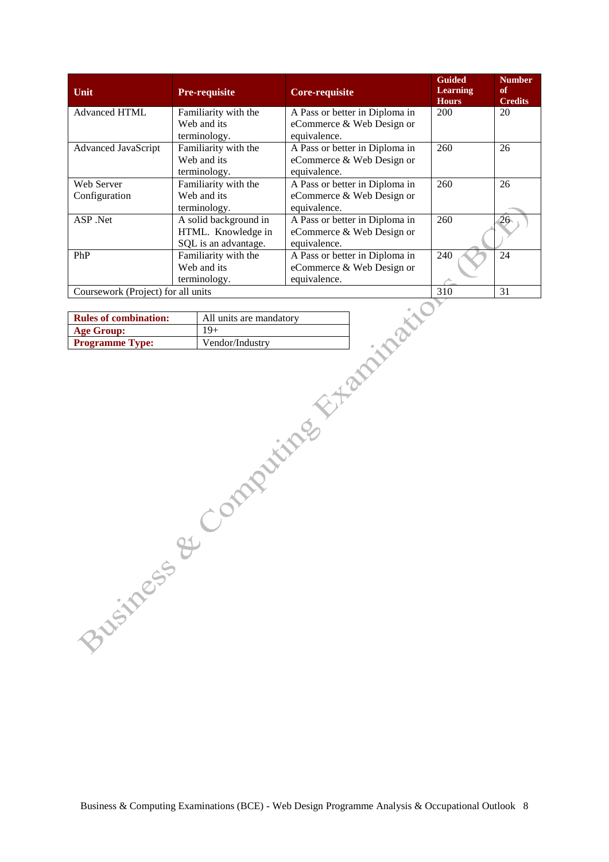| Unit                               | <b>Pre-requisite</b>                                                | <b>Core-requisite</b>                                                       | <b>Guided</b><br><b>Learning</b><br><b>Hours</b> | <b>Number</b><br>of<br><b>Credits</b> |
|------------------------------------|---------------------------------------------------------------------|-----------------------------------------------------------------------------|--------------------------------------------------|---------------------------------------|
| <b>Advanced HTML</b>               | Familiarity with the<br>Web and its<br>terminology.                 | A Pass or better in Diploma in<br>eCommerce & Web Design or<br>equivalence. | 200                                              | 20                                    |
| Advanced JavaScript                | Familiarity with the<br>Web and its<br>terminology.                 | A Pass or better in Diploma in<br>eCommerce & Web Design or<br>equivalence. | 260                                              | 26                                    |
| Web Server<br>Configuration        | Familiarity with the<br>Web and its<br>terminology.                 | A Pass or better in Diploma in<br>eCommerce & Web Design or<br>equivalence. | 260                                              | 26                                    |
| ASP .Net                           | A solid background in<br>HTML. Knowledge in<br>SQL is an advantage. | A Pass or better in Diploma in<br>eCommerce & Web Design or<br>equivalence. | 260                                              | $\overline{26}$                       |
| PhP                                | Familiarity with the<br>Web and its<br>terminology.                 | A Pass or better in Diploma in<br>eCommerce & Web Design or<br>equivalence. | 240                                              | 24                                    |
| Coursework (Project) for all units |                                                                     |                                                                             | 310                                              | 31                                    |

| <b>Rules of combination:</b> | All units are mandatory |
|------------------------------|-------------------------|
| <b>Age Group:</b>            | $19+$                   |
| <b>Programme Type:</b>       | Vendor/Industry         |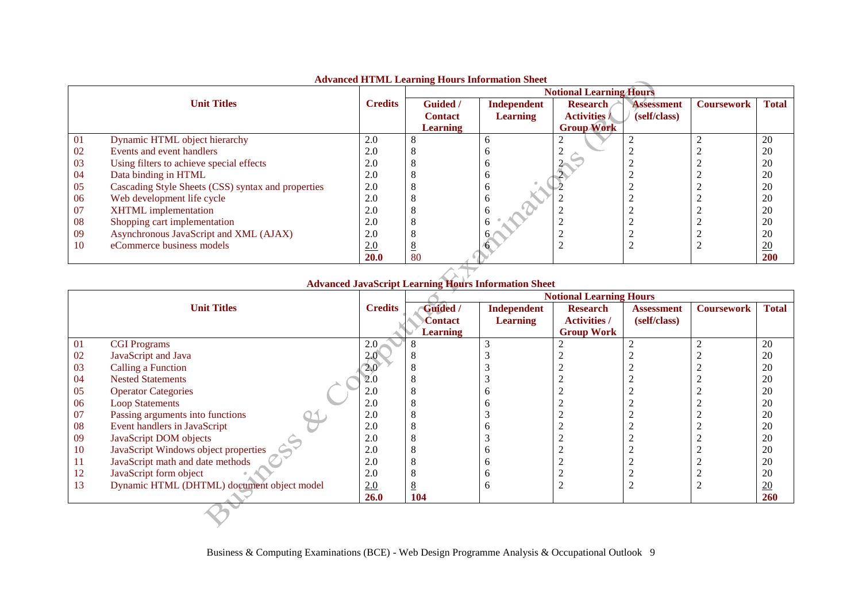|    |                                                    |                | <u>Travanceu HTTML Leafning Hours hilofination Sheet</u> |                 | <b>Notional Learning Hours</b> |                   |                   |                  |
|----|----------------------------------------------------|----------------|----------------------------------------------------------|-----------------|--------------------------------|-------------------|-------------------|------------------|
|    | <b>Unit Titles</b>                                 | <b>Credits</b> | <b>Guided</b> /                                          | Independent     | <b>Research</b>                | <b>Assessment</b> | <b>Coursework</b> | <b>Total</b>     |
|    |                                                    |                | <b>Contact</b>                                           | <b>Learning</b> | <b>Activities /</b>            | (self/class)      |                   |                  |
|    |                                                    |                | <b>Learning</b>                                          |                 | <b>Group Work</b>              |                   |                   |                  |
| 01 | Dynamic HTML object hierarchy                      | 2.0            |                                                          | n               |                                |                   |                   | 20               |
| 02 | Events and event handlers                          | 2.0            |                                                          |                 |                                |                   |                   | 20               |
| 03 | Using filters to achieve special effects           | 2.0            |                                                          |                 |                                |                   |                   | 20               |
| 04 | Data binding in HTML                               | 2.0            |                                                          |                 |                                |                   |                   | 20               |
| 05 | Cascading Style Sheets (CSS) syntax and properties | 2.0            |                                                          |                 |                                |                   |                   | 20               |
| 06 | Web development life cycle                         | 2.0            |                                                          |                 |                                |                   |                   | 20               |
| 07 | <b>XHTML</b> implementation                        | 2.0            |                                                          |                 |                                |                   |                   | 20               |
| 08 | Shopping cart implementation                       | 2.0            |                                                          |                 |                                |                   |                   | 20               |
| 09 | Asynchronous JavaScript and XML (AJAX)             | 2.0            |                                                          |                 |                                |                   |                   | 20               |
| 10 | eCommerce business models                          | 2.0            |                                                          |                 |                                |                   |                   | $\underline{20}$ |
|    |                                                    | <b>20.0</b>    | 80                                                       |                 |                                |                   |                   | <b>200</b>       |

## **Advanced HTML Learning Hours Information Sheet**

#### $\rightarrow$ **Advanced JavaScript Learning Hours Information Sheet**

|    |                                            |                | <b>Notional Learning Hours</b> |                 |                     |                   |                   |                 |
|----|--------------------------------------------|----------------|--------------------------------|-----------------|---------------------|-------------------|-------------------|-----------------|
|    | <b>Unit Titles</b>                         | <b>Credits</b> | <b>Guided</b> /                | Independent     | <b>Research</b>     | <b>Assessment</b> | <b>Coursework</b> | <b>Total</b>    |
|    |                                            |                | Contact                        | <b>Learning</b> | <b>Activities /</b> | (self/class)      |                   |                 |
|    |                                            |                | <b>Learning</b>                |                 | <b>Group Work</b>   |                   |                   |                 |
| 01 | <b>CGI Programs</b>                        | 2.0            |                                |                 |                     |                   |                   | 20              |
| 02 | JavaScript and Java                        | 2.0            |                                |                 |                     |                   |                   | 20              |
| 03 | Calling a Function                         | 2.0            |                                |                 |                     |                   |                   | 20              |
| 04 | <b>Nested Statements</b>                   | 2.0            |                                |                 |                     |                   |                   | 20              |
| 05 | <b>Operator Categories</b>                 | 2.0            |                                |                 |                     |                   |                   | 20              |
| 06 | <b>Loop Statements</b>                     | 2.0            |                                |                 |                     |                   |                   | 20              |
| 07 | Passing arguments into functions           | 2.0            |                                |                 |                     |                   |                   | 20              |
| 08 | Event handlers in JavaScript               | 2.0            |                                |                 |                     |                   |                   | 20              |
| 09 | JavaScript DOM objects                     | 2.0            |                                |                 |                     |                   |                   | 20              |
| 10 | JavaScript Windows object properties       | 2.0            |                                |                 |                     |                   |                   | 20              |
| 11 | JavaScript math and date methods           | 2.0            |                                |                 |                     |                   |                   | 20              |
| 12 | JavaScript form object                     | 2.0            |                                |                 |                     |                   |                   | 20              |
| 13 | Dynamic HTML (DHTML) document object model | 2.0            |                                |                 |                     |                   |                   | $\overline{20}$ |
|    |                                            | <b>26.0</b>    | 104                            |                 |                     |                   |                   | 260             |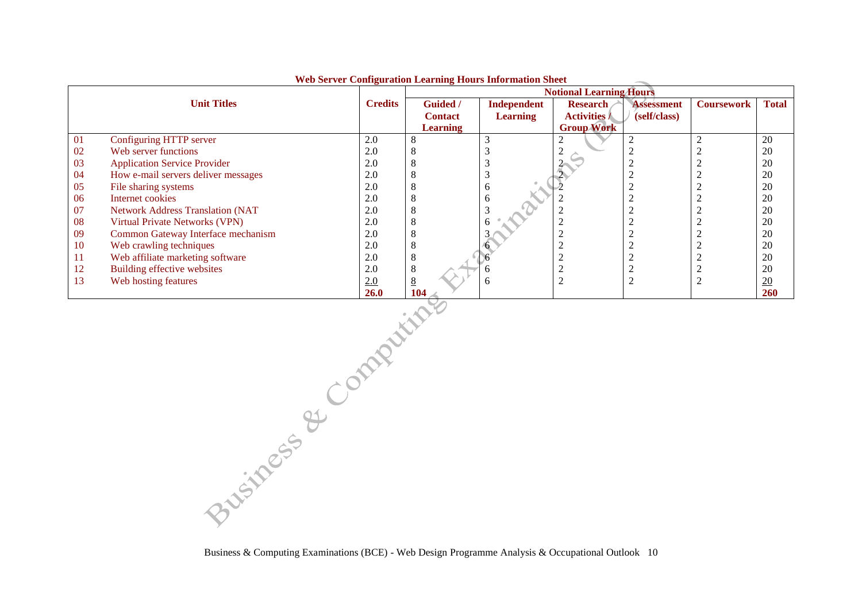|    |                                         |                | was been a comiguration meaning mours miorination shee<br><b>Notional Learning Hours</b> |                    |                     |                   |                   |              |  |
|----|-----------------------------------------|----------------|------------------------------------------------------------------------------------------|--------------------|---------------------|-------------------|-------------------|--------------|--|
|    | <b>Unit Titles</b>                      | <b>Credits</b> | Guided /                                                                                 | <b>Independent</b> | <b>Research</b>     | <b>Assessment</b> | <b>Coursework</b> | <b>Total</b> |  |
|    |                                         |                | <b>Contact</b>                                                                           | <b>Learning</b>    | <b>Activities /</b> | (self/class)      |                   |              |  |
|    |                                         |                | <b>Learning</b>                                                                          |                    | <b>Group Work</b>   |                   |                   |              |  |
| 01 | Configuring HTTP server                 | 2.0            | ◠                                                                                        |                    |                     |                   |                   | 20           |  |
| 02 | Web server functions                    | 2.0            | O                                                                                        |                    |                     |                   |                   | 20           |  |
| 03 | <b>Application Service Provider</b>     | 2.0            | Ō                                                                                        |                    |                     |                   |                   | 20           |  |
| 04 | How e-mail servers deliver messages     | 2.0            | O                                                                                        |                    |                     |                   |                   | 20           |  |
| 05 | File sharing systems                    | 2.0            | 8                                                                                        | <sub>0</sub>       |                     |                   |                   | 20           |  |
| 06 | Internet cookies                        | 2.0            | 8                                                                                        | <sub>0</sub>       |                     |                   |                   | 20           |  |
| 07 | <b>Network Address Translation (NAT</b> | 2.0            | 8                                                                                        |                    |                     |                   |                   | 20           |  |
| 08 | Virtual Private Networks (VPN)          | 2.0            |                                                                                          |                    |                     |                   |                   | 20           |  |
| 09 | Common Gateway Interface mechanism      | 2.0            |                                                                                          |                    |                     |                   |                   | 20           |  |
| 10 | Web crawling techniques                 | 2.0            | 8                                                                                        |                    |                     |                   |                   | 20           |  |
| 11 | Web affiliate marketing software        | 2.0            | 8                                                                                        |                    |                     |                   |                   | 20           |  |
| 12 | Building effective websites             | 2.0            | 8                                                                                        |                    |                     |                   |                   | 20           |  |
| 13 | Web hosting features                    | 2.0            | 8                                                                                        | n                  |                     |                   |                   | 20           |  |
|    |                                         | <b>26.0</b>    | 104                                                                                      |                    |                     |                   |                   | <b>260</b>   |  |

### **Web Server Configuration Learning Hours Information Sheet**